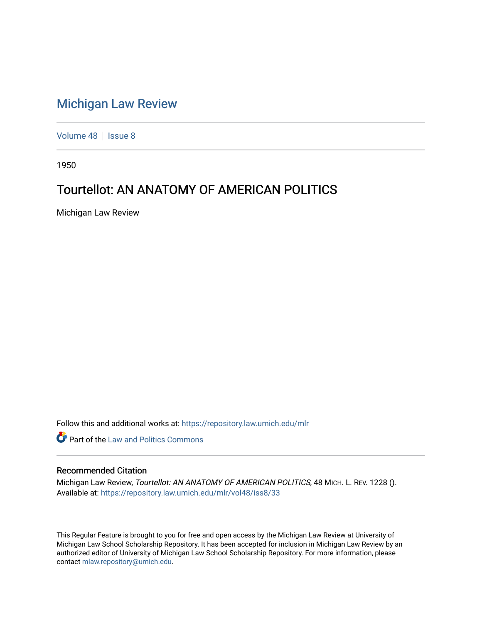## [Michigan Law Review](https://repository.law.umich.edu/mlr)

[Volume 48](https://repository.law.umich.edu/mlr/vol48) | [Issue 8](https://repository.law.umich.edu/mlr/vol48/iss8)

1950

## Tourtellot: AN ANATOMY OF AMERICAN POLITICS

Michigan Law Review

Follow this and additional works at: [https://repository.law.umich.edu/mlr](https://repository.law.umich.edu/mlr?utm_source=repository.law.umich.edu%2Fmlr%2Fvol48%2Fiss8%2F33&utm_medium=PDF&utm_campaign=PDFCoverPages) 

**Part of the Law and Politics Commons** 

## Recommended Citation

Michigan Law Review, Tourtellot: AN ANATOMY OF AMERICAN POLITICS, 48 MICH. L. REV. 1228 (). Available at: [https://repository.law.umich.edu/mlr/vol48/iss8/33](https://repository.law.umich.edu/mlr/vol48/iss8/33?utm_source=repository.law.umich.edu%2Fmlr%2Fvol48%2Fiss8%2F33&utm_medium=PDF&utm_campaign=PDFCoverPages) 

This Regular Feature is brought to you for free and open access by the Michigan Law Review at University of Michigan Law School Scholarship Repository. It has been accepted for inclusion in Michigan Law Review by an authorized editor of University of Michigan Law School Scholarship Repository. For more information, please contact [mlaw.repository@umich.edu](mailto:mlaw.repository@umich.edu).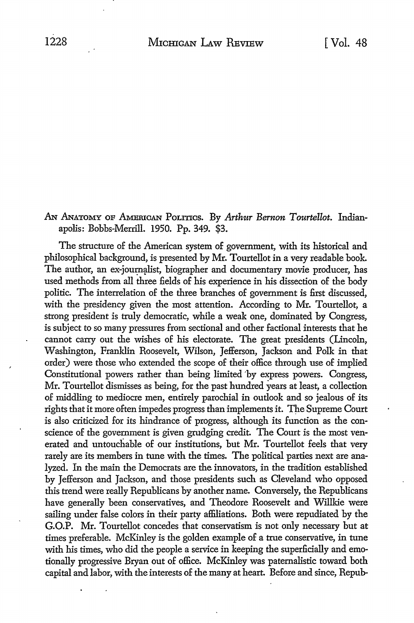## AN ANATOMY OF AMERICAN POLITICS. By *Arthur Bernon Tourtellot*. Indianapolis: Bobbs-Merrill. 1950. Pp. 349. \$3.

The structure of the American system of government, with its historical and philosophical background, is presented by Mr. Tourtellot in a very readable book. The author, an ex-journalist, biographer and documentary movie producer, has used methods from all three fields of his experience in his dissection of the body politic. The interrelation of the three branches of government is first discussed, with the presidency given the most attention. According to Mr. Tourtellot, a strong president is truly democratic, while a weak one, dominated by Congress, is subject to so many pressures from sectional and other factional interests that he cannot carry out the wishes of his electorate. The great presidents (Lincoln, Washington, Franklin Roosevelt, Wilson, Jefferson, Jackson and Polk in that order) were those who extended the scope of their office through use of implied Constitutional powers rather than being limited 'by express powers. Congress, Mr. Tourtellot dismisses as being, for the past hundred years at least, a collection of middling to mediocre men, entirely parochial in outlook and so jealous of its rights that it more often impedes progress than implements it. The Supreme Court is also criticized for its hindrance of progress, although its function as the conscience of the government is given grudging credit. The Court is the most venerated and untouchable of our institutions, but Mr. Tourtellot feels that very rarely are its members in tune with the times. The political parties next are analyzed. In the main the Democrats are the innovators, in the tradition established by Jefferson and Jackson, and those presidents such as Cleveland who opposed this trend were really Republicans by another name. Conversely, the Republicans have generally been conservatives, and Theodore Roosevelt and Willkie were sailing under false colors in their party affiliations. Both were repudiated by the G.O.P. Mr. Tourtellot concedes that conservatism is not only necessary but at times preferable. McKinley is the golden example of a true conservative, in tune with his times, who did the people a service in keeping the superficially and emotionally progressive Bryan out of office. McKinley was paternalistic toward both capital and labor, with the interests of the many at heart. Before and since, Repub-